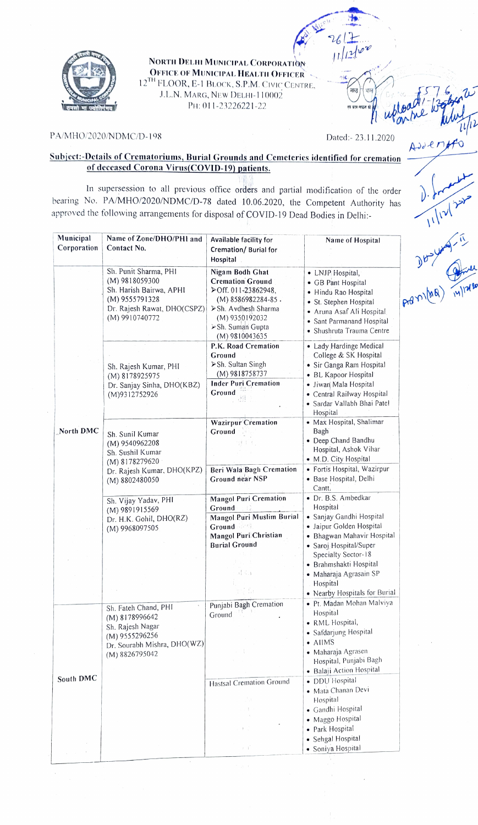

NORTH DELHI MUNICIPAL CoRroRATION **OFFICE OF MUNICIPAL HEALTH OFFICER** 12<sup>TH</sup> FLOOR, E-1 BLOCK, S.P.M. CIVIC CENTRE. **12TH** FLOOR, E-1 BLOCK, S.P.M. CIVIC CENTRE. JL.N. MARG, NEW DELHI-I10002

## PA/MHO/2020/NDMC/D-198 Dated:- 23.11.2020

 $261 +$ 

## Subject:-Details of Crematoriums, Burial Grounds and Cemeteries identified for cremation of deceased Corona Virus(COVID-19) patients

In supersession to all previous office orders and partial modification of the order bearing No. PA/MHO/2020/NDMC/D-78 dated 10.06.2020, the Competent Authority has approved the following arrangements for disposal of COVID-19 Dead Bodies in Delhi:

| Municipal<br>Corporation | Name of Zone/DHO/PHI and<br>Contact No.                                                                                                   | Available facility for<br>Cremation/Burial for<br>Hospital                                                                                                                               | Name of Hospital                                                                                                                                                                |                |
|--------------------------|-------------------------------------------------------------------------------------------------------------------------------------------|------------------------------------------------------------------------------------------------------------------------------------------------------------------------------------------|---------------------------------------------------------------------------------------------------------------------------------------------------------------------------------|----------------|
|                          | Sh. Punit Sharma, PHI<br>$(M)$ 9818059300<br>Sh. Harish Bairwa, APHI<br>$(M)$ 9555791328<br>Dr. Rajesh Rawat, DHO(CSPZ)<br>(M) 9910740772 | Nigam Bodh Ghat<br><b>Cremation Ground</b><br>$\triangleright$ Off. 011-23862948,<br>$(M)$ 8586982284-85.<br>≻Sh. Avdhesh Sharma<br>(M) 9350192032<br>≻Sh. Suman Gupta<br>(M) 9810043635 | • LNJP Hospital,<br>• GB Pant Hospital<br>• Hindu Rao Hospital<br>• St. Stephen Hospital<br>· Aruna Asaf Ali Hospital<br>• Sant Parmanand Hospital<br>• Shushruta Trauma Centre | P <sub>0</sub> |
|                          | Sh. Rajesh Kumar, PHI<br>(M) 8178925975                                                                                                   | P.K. Road Cremation<br>Ground<br>> Sh. Sultan Singh<br>(M) 9818758737                                                                                                                    | • Lady Hardinge Medical<br>College & SK Hospital<br>· Sir Ganga Ram Hospital<br>· BL Kapoor Hospital                                                                            |                |
|                          | Dr. Sanjay Sinha, DHO(KBZ)<br>(M)9312752926                                                                                               | <b>Inder Puri Cremation</b><br>Ground                                                                                                                                                    | • Jiwan Mala Hospital<br>• Central Railway Hospital<br>· Sardar Vallabh Bhai Patel<br>Hospital                                                                                  |                |
| North DMC                | Sh. Sunil Kumar<br>(M) 9540962208<br>Sh. Sushil Kumar<br>(M) 8178279620                                                                   | <b>Wazirpur</b> Cremation<br>Ground                                                                                                                                                      | • Max Hospital, Shalimar<br>Bagh<br>• Deep Chand Bandhu<br>Hospital, Ashok Vihar<br>• M.D. City Hospital                                                                        |                |
|                          | Dr. Rajesh Kumar, DHO(KPZ)<br>(M) 8802480050                                                                                              | Beri Wala Bagh Cremation<br>Ground near NSP                                                                                                                                              | • Fortis Hospital, Wazirpur<br>• Base Hospital, Delhi<br>Cantt.                                                                                                                 |                |
|                          | Sh. Vijay Yadav, PHI<br>$(M)$ 9891915569<br>Dr. H.K. Gohil, DHO(RZ)<br>(M) 9968097505                                                     | <b>Mangol Puri Cremation</b><br>Ground<br>Mangol Puri Muslim Burial<br>Ground <b>Company</b><br>Mangol Puri Christian<br><b>Burial Ground</b>                                            | · Dr. B.S. Ambedkar<br>Hospital<br>• Sanjay Gandhi Hospital<br>· Jaipur Golden Hospital<br>· Bhagwan Mahavir Hospital<br>• Saroj Hospital/Super                                 |                |
|                          |                                                                                                                                           | 라리크<br>d ta                                                                                                                                                                              | Specialty Sector-18<br>· Brahmshakti Hospital<br>• Maharaja Agrasain SP<br>Hospital<br>• Nearby Hospitals for Burial                                                            |                |
|                          | Sh. Fateh Chand, PHI<br>$(M)$ 8178996642<br>Sh. Rajesh Nagar<br>(M) 9555296256<br>Dr. Sourabh Mishra, DHO(WZ)<br>(M) 8826795042           | Punjabi Bagh Cremation<br>Ground                                                                                                                                                         | · Pt. Madan Mohan Malviya<br>Hospital<br>· RML Hospital,<br>· Safdarjung Hospital<br>$\bullet$ AIIMS<br>• Maharaja Agrasen<br>Hospital, Punjabi Bagh                            |                |
| South DMC                |                                                                                                                                           | <b>Hastsal Cremation Ground</b><br>N<br>Ť.                                                                                                                                               | · Balaji Action Hospital<br>· DDU Hospital<br>• Mata Chanan Devi<br>Hospital<br>· Gandhi Hospital                                                                               |                |
|                          |                                                                                                                                           | 1.<br>ΥT                                                                                                                                                                                 | · Maggo Hospital<br>· Park Hospital<br>· Sehgal Hospital<br>· Soniya Hospital                                                                                                   |                |

 $30424221$ 

 $A$ 221